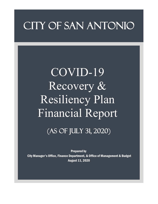# CITY OF SAN ANTONIO

# COVID-19 Recovery & Resiliency Plan Financial Report

# (As of July 31, 2020)

Prepared by City Manager's Office, Finance Department, & Office of Management & Budget August 11, 2020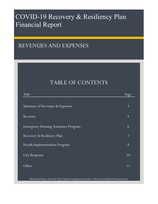# COVID-19 Recovery & Resiliency Plan Financial Report

# REVENUES AND EXPENSES

# TABLE OF CONTENTS

| Title                                       | Page           |
|---------------------------------------------|----------------|
|                                             |                |
| Summary of Revenues & Expenses              | $\overline{3}$ |
|                                             |                |
| Revenue                                     | $\overline{4}$ |
| <b>Emergency Housing Assistance Program</b> | 6              |
|                                             |                |
| Recovery & Resiliency Plan                  | $\overline{7}$ |
| Health Implementation Program               | 9              |
|                                             |                |
| <b>City Response</b>                        | 10             |
| Other                                       | 11             |
|                                             |                |
|                                             |                |

All financial data is from the City's financial management system. This is an unaudited financial report.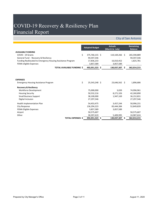# COVID-19 Recovery & Resiliency Plan Financial Report

### City of San Antonio

|                                                             |                                   | <b>Adopted Budget</b> | <b>Actuals</b><br>(March to July) |    | <b>Remaining</b><br><b>Balance</b> |
|-------------------------------------------------------------|-----------------------------------|-----------------------|-----------------------------------|----|------------------------------------|
| <b>AVAILABLE FUNDING</b>                                    |                                   |                       |                                   |    |                                    |
| COVID - 19 Grants                                           | \$                                | 375,760,155 \$        | $110,169,266$ \$                  |    | 265,590,889                        |
| General Fund - Recovery & Resiliency                        |                                   | 94,597,546            |                                   |    | 94,597,546                         |
| Funding Reallocated to Emergency Housing Assistance Program |                                   | 17,836,233            | 16,010,452                        |    | 1,825,781                          |
| FEMA eligible Expenses                                      |                                   | 3,857,589             | 3,857,589                         |    |                                    |
|                                                             | <b>TOTAL AVAILABLE FUNDING \$</b> | 492,051,523 \$        | 130,037,307                       | S. | 362,014,215                        |
|                                                             |                                   |                       |                                   |    |                                    |
| <b>EXPENSES</b>                                             |                                   |                       |                                   |    |                                    |
| <b>Emergency Housing Assistance Program</b>                 | \$                                | 25,543,248 \$         | 23,646,562 \$                     |    | 1,896,686                          |
| <b>Recovery &amp; Resiliency</b>                            |                                   |                       |                                   |    |                                    |
| <b>Workforce Development</b>                                |                                   | 75,000,000            | 3,039                             |    | 74,996,961                         |
| <b>Housing Security</b>                                     |                                   | 50,532,216            | 8,271,326                         |    | 42,260,890                         |
| <b>Small Business Support</b>                               |                                   | 38,100,000            | 1,947,169                         |    | 36,152,831                         |
| Digital Inclusion                                           |                                   | 27,297,546            |                                   |    | 27,297,546                         |
| Health Implementation Plan                                  |                                   | 54,453,475            | 3,457,244                         |    | 50,996,231                         |
| City Response                                               |                                   | 136,294,223           | 83,444,384                        |    | 52,849,839                         |
| <b>FEMA Eligible Expenses</b>                               |                                   | 3,857,589             | 3,857,589                         |    |                                    |
| Airport                                                     |                                   | 50,575,607            |                                   |    | 50,575,607                         |
| Other                                                       |                                   | 30,397,619            | 5,409,995                         |    | 24,987,624                         |
|                                                             | <b>TOTAL EXPENSES \$</b>          | 492,051,523 \$        | 130,037,307                       | S. | 362,014,215                        |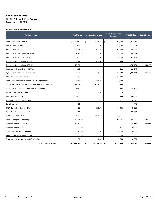# **City of San Antonio COVID-19 Funding by Source**

Report as of July 31, 2020

#### **COVID-19 Awarded Grants**

| <b>Funding Source</b>                                      | <b>Total Award</b> | <b>March to July Actuals</b> | <b>March to September</b><br><b>Estimate</b> | <b>FY 2021 Plan</b>   | <b>FY 2022 Plan</b> |
|------------------------------------------------------------|--------------------|------------------------------|----------------------------------------------|-----------------------|---------------------|
| Coronavirus Relief Fund (CRF)                              | \$<br>269,983,717  | \$<br>96,255,391             | \$<br>232,032,298                            | $37,951,419$ \$<br>\$ |                     |
| Health COVID 19-Grant                                      | 996,725            | 322,924                      | 328,977                                      | 667,748               |                     |
| Health COVID 19-CoAg                                       | 2,494,910          | 942,248                      | 1,085,240                                    | 1,409,670             |                     |
| Health COVID Epi & Laboratory Grant                        | 2,184,484          |                              | 150,000                                      | 2,034,484             |                     |
| Health COVID Immunization Grant                            | 617,269            |                              | 100,000                                      | 517,269               |                     |
| <b>Emergency Solutions Grant (ESG-CV1)</b>                 | 3,902,645          | 830,418                      | 3,129,153                                    | 773,492               |                     |
| <b>Emergency Solutions Grant (ESG-CV2)</b>                 | 12,950,577         |                              |                                              | 8,757,109             | 4,193,468           |
| Homeless Assistance Grant - HOPWA                          | 297,456            |                              | 74,211                                       | 223,245               |                     |
| Byrne Justice Assistance Grant Program                     | 2,331,581          | 28,520                       | 308,273                                      | 1,922,143             | 101,165             |
| <b>EMS</b> - Relief Fund for Healthcare Providers          | 393,484            |                              | 393,484                                      |                       |                     |
| Coronavirus Emergency Supplemental Funding Program         | 2,688,293          | 2,688,293                    | 2,688,293                                    |                       |                     |
| Child Care and Development Block Grant (CCS 2020 COVID 19) | 11,175,769         | 1,175,769                    | 11,175,769                                   |                       |                     |
| Community Services Block Grant (CSBG) 2020 CARES           | 2,937,062          | 37,352                       | 82,762                                       | 2,854,300             |                     |
| FY 2020 CSBG Program Supplemental                          | 105,026            | $\overline{\phantom{a}}$     | 105,026                                      |                       |                     |
| Head Start 20-21 COVID-19                                  | 2,653,999          | 7,143                        | 7,143                                        | 2,646,856             |                     |
| Early Head Start-CCP 19-20 COVID                           | 189,822            | $\overline{\phantom{a}}$     | $\overline{\phantom{a}}$                     | 189,822               |                     |
| Early Head Start                                           | 116,654            |                              |                                              | 116,654               |                     |
| FFCRA Senior Nutrition 19 - 2020                           | 437,060            | 235,075                      | 352,464                                      | 84,596                |                     |
| <b>Senior Nutrition Program-CARES</b>                      | 886,000            |                              |                                              | 886,000               |                     |
| CDBG HUD COVID Grant                                       | 7,707,015          | 7,636,109                    | 7,707,015                                    |                       |                     |
| <b>CARES Act Airports - Operating</b>                      | 39,708,109         |                              | 11,000,001                                   | 22,078,841            | 6,629,267           |
| <b>CARES Act Airports - Capital</b>                        | 10,837,498         |                              |                                              | 7,843,833             | 2,993,665           |
| <b>CARES Act Airports - Stinson</b>                        | 30,000             |                              |                                              | 30,000                |                     |
| <b>Cities for Financial Empowerment</b>                    | 80,000             |                              | 20,000                                       | 60,000                |                     |
| Humanities Texas Relief Grant (OHP)                        | 5,000              |                              | 5,000                                        |                       |                     |
| Texas State Library Archives CARES Grant Cycle 1           | 50,000             | 10,024                       | 17,000                                       | 33,000                |                     |

**Total COVID-19 Grants \$ 375,760,155 \$ 110,169,266 \$ 270,762,109 \$ 91,080,481 \$ 13,917,565**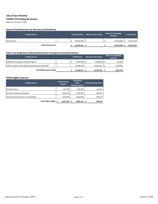# **City of San Antonio COVID-19 Funding by Source**

Report as of July 31, 2020

#### **General Fund Revenues for Recovery and Resiliency**

| <b>Funding Source</b>     | <b>Total Allocation</b> | <b>March to July Actuals</b> | <b>March to September</b><br><b>Estimate</b> | <b>FY 2021 Plan</b> |
|---------------------------|-------------------------|------------------------------|----------------------------------------------|---------------------|
| General Fund              | 94,597,546              |                              | 29,370,099                                   | 65,227,447          |
| <b>Total General Fund</b> | 94,597,546              | $\overline{\phantom{0}}$     | 29,370,099                                   | 65,227,447          |

#### **Other City Budgeted Funding Reallocated to Emergency Housing Assistance**

| <b>Funding Source</b>                                | <b>Total Award</b> | <b>March to July Actuals</b> | <b>March to September</b><br><b>Estimate</b> |
|------------------------------------------------------|--------------------|------------------------------|----------------------------------------------|
| CDBG 45th Emergency Housing Program                  | $5,750,000$   \$   | $5,028,502$   \$             | 721,498                                      |
| COVID Emergency Affordable Housing Program (GF/TIRZ) | 12,086,233         | 10,981,951                   | 1,104,282                                    |
| <b>Total Reallocated Funding</b>                     | 17,836,233 \$      | 16,010,452                   | 1,825,781                                    |

#### **FEMA Eligible Expenses**

| <b>Funding Source</b>                   | <b>March to July</b><br><b>Actuals</b> | <b>Anticipated</b><br><b>FEMA</b><br><b>Reimbursement</b> | <b>Anticipated City Match</b> |
|-----------------------------------------|----------------------------------------|-----------------------------------------------------------|-------------------------------|
| <b>EOC Operations</b>                   | 467,240                                | 350,430                                                   | 116,810                       |
| Personal Protective Equipment           | 1,933,763                              | 1,450,322                                                 | 483,441                       |
| Hotel Expenses (Homeless and Isolation) | 1,456,586                              | 1,092,440                                                 | 364,147                       |
| Total FEMA Eligible \$                  | 3,857,589                              | 2,893,192                                                 | 964,397                       |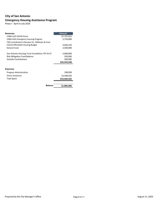## **City of San Antonio Emergency Housing Assistance Program**

Phase I - April to July 2020

| <b>Revenues:</b>                                 | <b>Amount</b> |
|--------------------------------------------------|---------------|
| <b>CDBG HUD COVID Grant</b>                      | \$7,707,015   |
| CDBG 45th Emergency Housing Program              | 5,750,000     |
| TIRZ contributions (Houston St., Midtown & Inner |               |
| City) & Affordable Housing Budget                | 4,036,233     |
| General Fund                                     | 2,500,000     |
| San Antonio Housing Trust Foundation, PFC & FC   | 5,000,000     |
| <b>Risk Mitigation Fund Balance</b>              | 350,000       |
| <b>Outside Contributions</b>                     | 200,000       |
|                                                  | \$25,543,248  |
|                                                  |               |
| <b>Expenses</b>                                  |               |
| Program Administration                           | 198,058       |
| Direct Assistance                                | 23,448,503    |
| <b>Total Spent</b>                               | \$23,646,562  |
| <b>Balance</b>                                   | \$1,896,686   |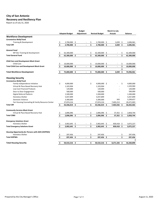## **City of San Antonio Recovery and Resiliency Plan**

Report as of July 31, 2020

| <b>Adopted Budget</b><br><b>Actuals</b><br>Adjustment<br><b>Revised Budget</b><br><b>Balance</b><br><b>Workforce Development</b><br><b>Coronavirus Relief Fund</b><br>$3,039$ \$<br>2,700,000 \$<br>2,696,961<br>Training & Development<br>2,700,000 \$<br>\$<br>\$<br><b>Total CRF</b><br>$\ddot{\bm{\zeta}}$<br>$\ddot{\mathsf{s}}$<br>2,700,000<br>2,700,000<br>\$<br>3,039<br>2,696,961<br>$\blacksquare$<br><b>General Fund</b><br>62,300,000 \$<br>\$<br>62,300,000<br>WF Dev Training & Development<br>62,300,000<br>\$<br>\$<br>\$<br>\$<br>\$<br>62,300,000 \$<br><b>Total General Fund</b><br>62,300,000 \$<br>62,300,000<br><b>Child Care and Development Block Grant</b><br>10,000,000 \$<br>10,000,000<br>Child Care<br>10,000,000<br>\$.<br>\$<br>\$<br>\$<br>\$<br>\$<br><b>Total Child Care and Development Block Grant</b><br>10,000,000 \$<br>10,000,000 \$<br>10,000,000<br>$\blacksquare$<br>\$<br><b>Total Workforce Development</b><br>75,000,000 \$<br>\$<br>75,000,000 \$<br>\$<br>\$<br>74,996,961<br>3,039<br>$\overline{\phantom{0}}$<br><b>Housing Security</b><br><b>Coronavirus Relief Fund</b><br>\$<br>\$<br>4,000,000 \$<br>\$<br>4,000,000<br>Family Independence Initiative<br>4,000,000<br>1,103,904<br>Virtual & Place Based Recovery Hub<br>1,103,904<br>1,103,904<br>120,000<br>Low Cost Financial Products<br>120,000<br>120,000<br>500,000<br>500,000<br>500,000<br>Door to Door Engagement<br>1,500,000<br>Digital Referral Platform<br>1,500,000<br>1,500,000<br><b>Homeless Shelter</b><br>5,037,899<br>5,037,899<br>5,037,899<br>3,299,657<br><b>Domestic Violence</b><br>3,300,000<br>3,300,000<br>343<br>Fair Housing Counseling & Family Resource Center<br>7,403,213<br>20,471,003<br>27,874,216<br>27,874,216<br>\$<br>\$<br><b>Total CRF</b><br>43,436,019 \$<br>43,436,019 \$<br>7,403,556 \$<br>36,032,463<br>$\blacksquare$<br><b>Community Services Block Grant</b><br>2,896,096 \$<br>Virtual & Place Based Recovery Hub<br>2,896,096<br>\$<br>$37,352$ \$<br>2,858,744<br>\$<br>2,896,096 \$<br>2,896,096 \$<br><b>Total CSBG</b><br>\$<br>$37,352$ \$<br>2,858,744<br><b>Emergency Solutions Grant</b><br><b>Homeless Shelter</b><br>3,902,645 \$<br>$3,902,645$ \$<br>830,418 \$<br>3,072,227<br>\$<br>3,902,645 \$<br>3,902,645 \$<br><b>Total Emergency Solutions Grant</b><br>\$<br>830,418 \$<br>3,072,227<br><b>Housing Opportunity for Persons with AIDS (HOPWA)</b><br>297,456<br>297,456<br><b>Homeless Shelter</b><br>297,456<br>\$<br>Ş<br>\$<br>\$<br>297,456 \$<br>297,456 \$<br><b>Total HOPWA</b><br>297,456<br>0<br><b>Total Housing Security</b><br>50,532,216 \$<br>\$<br>50,532,216 \$<br>8,271,326 \$<br>42,260,890 |  |  | <b>Budget</b> |  |  |  | <b>March to July</b> |  |
|---------------------------------------------------------------------------------------------------------------------------------------------------------------------------------------------------------------------------------------------------------------------------------------------------------------------------------------------------------------------------------------------------------------------------------------------------------------------------------------------------------------------------------------------------------------------------------------------------------------------------------------------------------------------------------------------------------------------------------------------------------------------------------------------------------------------------------------------------------------------------------------------------------------------------------------------------------------------------------------------------------------------------------------------------------------------------------------------------------------------------------------------------------------------------------------------------------------------------------------------------------------------------------------------------------------------------------------------------------------------------------------------------------------------------------------------------------------------------------------------------------------------------------------------------------------------------------------------------------------------------------------------------------------------------------------------------------------------------------------------------------------------------------------------------------------------------------------------------------------------------------------------------------------------------------------------------------------------------------------------------------------------------------------------------------------------------------------------------------------------------------------------------------------------------------------------------------------------------------------------------------------------------------------------------------------------------------------------------------------------------------------------------------------------------------------------------------------------------------------------------------------------------------------------------------------------------------------------------------------------------------------------------------------------------------------------------|--|--|---------------|--|--|--|----------------------|--|
|                                                                                                                                                                                                                                                                                                                                                                                                                                                                                                                                                                                                                                                                                                                                                                                                                                                                                                                                                                                                                                                                                                                                                                                                                                                                                                                                                                                                                                                                                                                                                                                                                                                                                                                                                                                                                                                                                                                                                                                                                                                                                                                                                                                                                                                                                                                                                                                                                                                                                                                                                                                                                                                                                                   |  |  |               |  |  |  |                      |  |
|                                                                                                                                                                                                                                                                                                                                                                                                                                                                                                                                                                                                                                                                                                                                                                                                                                                                                                                                                                                                                                                                                                                                                                                                                                                                                                                                                                                                                                                                                                                                                                                                                                                                                                                                                                                                                                                                                                                                                                                                                                                                                                                                                                                                                                                                                                                                                                                                                                                                                                                                                                                                                                                                                                   |  |  |               |  |  |  |                      |  |
|                                                                                                                                                                                                                                                                                                                                                                                                                                                                                                                                                                                                                                                                                                                                                                                                                                                                                                                                                                                                                                                                                                                                                                                                                                                                                                                                                                                                                                                                                                                                                                                                                                                                                                                                                                                                                                                                                                                                                                                                                                                                                                                                                                                                                                                                                                                                                                                                                                                                                                                                                                                                                                                                                                   |  |  |               |  |  |  |                      |  |
|                                                                                                                                                                                                                                                                                                                                                                                                                                                                                                                                                                                                                                                                                                                                                                                                                                                                                                                                                                                                                                                                                                                                                                                                                                                                                                                                                                                                                                                                                                                                                                                                                                                                                                                                                                                                                                                                                                                                                                                                                                                                                                                                                                                                                                                                                                                                                                                                                                                                                                                                                                                                                                                                                                   |  |  |               |  |  |  |                      |  |
|                                                                                                                                                                                                                                                                                                                                                                                                                                                                                                                                                                                                                                                                                                                                                                                                                                                                                                                                                                                                                                                                                                                                                                                                                                                                                                                                                                                                                                                                                                                                                                                                                                                                                                                                                                                                                                                                                                                                                                                                                                                                                                                                                                                                                                                                                                                                                                                                                                                                                                                                                                                                                                                                                                   |  |  |               |  |  |  |                      |  |
|                                                                                                                                                                                                                                                                                                                                                                                                                                                                                                                                                                                                                                                                                                                                                                                                                                                                                                                                                                                                                                                                                                                                                                                                                                                                                                                                                                                                                                                                                                                                                                                                                                                                                                                                                                                                                                                                                                                                                                                                                                                                                                                                                                                                                                                                                                                                                                                                                                                                                                                                                                                                                                                                                                   |  |  |               |  |  |  |                      |  |
|                                                                                                                                                                                                                                                                                                                                                                                                                                                                                                                                                                                                                                                                                                                                                                                                                                                                                                                                                                                                                                                                                                                                                                                                                                                                                                                                                                                                                                                                                                                                                                                                                                                                                                                                                                                                                                                                                                                                                                                                                                                                                                                                                                                                                                                                                                                                                                                                                                                                                                                                                                                                                                                                                                   |  |  |               |  |  |  |                      |  |
|                                                                                                                                                                                                                                                                                                                                                                                                                                                                                                                                                                                                                                                                                                                                                                                                                                                                                                                                                                                                                                                                                                                                                                                                                                                                                                                                                                                                                                                                                                                                                                                                                                                                                                                                                                                                                                                                                                                                                                                                                                                                                                                                                                                                                                                                                                                                                                                                                                                                                                                                                                                                                                                                                                   |  |  |               |  |  |  |                      |  |
|                                                                                                                                                                                                                                                                                                                                                                                                                                                                                                                                                                                                                                                                                                                                                                                                                                                                                                                                                                                                                                                                                                                                                                                                                                                                                                                                                                                                                                                                                                                                                                                                                                                                                                                                                                                                                                                                                                                                                                                                                                                                                                                                                                                                                                                                                                                                                                                                                                                                                                                                                                                                                                                                                                   |  |  |               |  |  |  |                      |  |
|                                                                                                                                                                                                                                                                                                                                                                                                                                                                                                                                                                                                                                                                                                                                                                                                                                                                                                                                                                                                                                                                                                                                                                                                                                                                                                                                                                                                                                                                                                                                                                                                                                                                                                                                                                                                                                                                                                                                                                                                                                                                                                                                                                                                                                                                                                                                                                                                                                                                                                                                                                                                                                                                                                   |  |  |               |  |  |  |                      |  |
|                                                                                                                                                                                                                                                                                                                                                                                                                                                                                                                                                                                                                                                                                                                                                                                                                                                                                                                                                                                                                                                                                                                                                                                                                                                                                                                                                                                                                                                                                                                                                                                                                                                                                                                                                                                                                                                                                                                                                                                                                                                                                                                                                                                                                                                                                                                                                                                                                                                                                                                                                                                                                                                                                                   |  |  |               |  |  |  |                      |  |
|                                                                                                                                                                                                                                                                                                                                                                                                                                                                                                                                                                                                                                                                                                                                                                                                                                                                                                                                                                                                                                                                                                                                                                                                                                                                                                                                                                                                                                                                                                                                                                                                                                                                                                                                                                                                                                                                                                                                                                                                                                                                                                                                                                                                                                                                                                                                                                                                                                                                                                                                                                                                                                                                                                   |  |  |               |  |  |  |                      |  |
|                                                                                                                                                                                                                                                                                                                                                                                                                                                                                                                                                                                                                                                                                                                                                                                                                                                                                                                                                                                                                                                                                                                                                                                                                                                                                                                                                                                                                                                                                                                                                                                                                                                                                                                                                                                                                                                                                                                                                                                                                                                                                                                                                                                                                                                                                                                                                                                                                                                                                                                                                                                                                                                                                                   |  |  |               |  |  |  |                      |  |
|                                                                                                                                                                                                                                                                                                                                                                                                                                                                                                                                                                                                                                                                                                                                                                                                                                                                                                                                                                                                                                                                                                                                                                                                                                                                                                                                                                                                                                                                                                                                                                                                                                                                                                                                                                                                                                                                                                                                                                                                                                                                                                                                                                                                                                                                                                                                                                                                                                                                                                                                                                                                                                                                                                   |  |  |               |  |  |  |                      |  |
|                                                                                                                                                                                                                                                                                                                                                                                                                                                                                                                                                                                                                                                                                                                                                                                                                                                                                                                                                                                                                                                                                                                                                                                                                                                                                                                                                                                                                                                                                                                                                                                                                                                                                                                                                                                                                                                                                                                                                                                                                                                                                                                                                                                                                                                                                                                                                                                                                                                                                                                                                                                                                                                                                                   |  |  |               |  |  |  |                      |  |
|                                                                                                                                                                                                                                                                                                                                                                                                                                                                                                                                                                                                                                                                                                                                                                                                                                                                                                                                                                                                                                                                                                                                                                                                                                                                                                                                                                                                                                                                                                                                                                                                                                                                                                                                                                                                                                                                                                                                                                                                                                                                                                                                                                                                                                                                                                                                                                                                                                                                                                                                                                                                                                                                                                   |  |  |               |  |  |  |                      |  |
|                                                                                                                                                                                                                                                                                                                                                                                                                                                                                                                                                                                                                                                                                                                                                                                                                                                                                                                                                                                                                                                                                                                                                                                                                                                                                                                                                                                                                                                                                                                                                                                                                                                                                                                                                                                                                                                                                                                                                                                                                                                                                                                                                                                                                                                                                                                                                                                                                                                                                                                                                                                                                                                                                                   |  |  |               |  |  |  |                      |  |
|                                                                                                                                                                                                                                                                                                                                                                                                                                                                                                                                                                                                                                                                                                                                                                                                                                                                                                                                                                                                                                                                                                                                                                                                                                                                                                                                                                                                                                                                                                                                                                                                                                                                                                                                                                                                                                                                                                                                                                                                                                                                                                                                                                                                                                                                                                                                                                                                                                                                                                                                                                                                                                                                                                   |  |  |               |  |  |  |                      |  |
|                                                                                                                                                                                                                                                                                                                                                                                                                                                                                                                                                                                                                                                                                                                                                                                                                                                                                                                                                                                                                                                                                                                                                                                                                                                                                                                                                                                                                                                                                                                                                                                                                                                                                                                                                                                                                                                                                                                                                                                                                                                                                                                                                                                                                                                                                                                                                                                                                                                                                                                                                                                                                                                                                                   |  |  |               |  |  |  |                      |  |
|                                                                                                                                                                                                                                                                                                                                                                                                                                                                                                                                                                                                                                                                                                                                                                                                                                                                                                                                                                                                                                                                                                                                                                                                                                                                                                                                                                                                                                                                                                                                                                                                                                                                                                                                                                                                                                                                                                                                                                                                                                                                                                                                                                                                                                                                                                                                                                                                                                                                                                                                                                                                                                                                                                   |  |  |               |  |  |  |                      |  |
|                                                                                                                                                                                                                                                                                                                                                                                                                                                                                                                                                                                                                                                                                                                                                                                                                                                                                                                                                                                                                                                                                                                                                                                                                                                                                                                                                                                                                                                                                                                                                                                                                                                                                                                                                                                                                                                                                                                                                                                                                                                                                                                                                                                                                                                                                                                                                                                                                                                                                                                                                                                                                                                                                                   |  |  |               |  |  |  |                      |  |
|                                                                                                                                                                                                                                                                                                                                                                                                                                                                                                                                                                                                                                                                                                                                                                                                                                                                                                                                                                                                                                                                                                                                                                                                                                                                                                                                                                                                                                                                                                                                                                                                                                                                                                                                                                                                                                                                                                                                                                                                                                                                                                                                                                                                                                                                                                                                                                                                                                                                                                                                                                                                                                                                                                   |  |  |               |  |  |  |                      |  |
|                                                                                                                                                                                                                                                                                                                                                                                                                                                                                                                                                                                                                                                                                                                                                                                                                                                                                                                                                                                                                                                                                                                                                                                                                                                                                                                                                                                                                                                                                                                                                                                                                                                                                                                                                                                                                                                                                                                                                                                                                                                                                                                                                                                                                                                                                                                                                                                                                                                                                                                                                                                                                                                                                                   |  |  |               |  |  |  |                      |  |
|                                                                                                                                                                                                                                                                                                                                                                                                                                                                                                                                                                                                                                                                                                                                                                                                                                                                                                                                                                                                                                                                                                                                                                                                                                                                                                                                                                                                                                                                                                                                                                                                                                                                                                                                                                                                                                                                                                                                                                                                                                                                                                                                                                                                                                                                                                                                                                                                                                                                                                                                                                                                                                                                                                   |  |  |               |  |  |  |                      |  |
|                                                                                                                                                                                                                                                                                                                                                                                                                                                                                                                                                                                                                                                                                                                                                                                                                                                                                                                                                                                                                                                                                                                                                                                                                                                                                                                                                                                                                                                                                                                                                                                                                                                                                                                                                                                                                                                                                                                                                                                                                                                                                                                                                                                                                                                                                                                                                                                                                                                                                                                                                                                                                                                                                                   |  |  |               |  |  |  |                      |  |
|                                                                                                                                                                                                                                                                                                                                                                                                                                                                                                                                                                                                                                                                                                                                                                                                                                                                                                                                                                                                                                                                                                                                                                                                                                                                                                                                                                                                                                                                                                                                                                                                                                                                                                                                                                                                                                                                                                                                                                                                                                                                                                                                                                                                                                                                                                                                                                                                                                                                                                                                                                                                                                                                                                   |  |  |               |  |  |  |                      |  |
|                                                                                                                                                                                                                                                                                                                                                                                                                                                                                                                                                                                                                                                                                                                                                                                                                                                                                                                                                                                                                                                                                                                                                                                                                                                                                                                                                                                                                                                                                                                                                                                                                                                                                                                                                                                                                                                                                                                                                                                                                                                                                                                                                                                                                                                                                                                                                                                                                                                                                                                                                                                                                                                                                                   |  |  |               |  |  |  |                      |  |
|                                                                                                                                                                                                                                                                                                                                                                                                                                                                                                                                                                                                                                                                                                                                                                                                                                                                                                                                                                                                                                                                                                                                                                                                                                                                                                                                                                                                                                                                                                                                                                                                                                                                                                                                                                                                                                                                                                                                                                                                                                                                                                                                                                                                                                                                                                                                                                                                                                                                                                                                                                                                                                                                                                   |  |  |               |  |  |  |                      |  |
|                                                                                                                                                                                                                                                                                                                                                                                                                                                                                                                                                                                                                                                                                                                                                                                                                                                                                                                                                                                                                                                                                                                                                                                                                                                                                                                                                                                                                                                                                                                                                                                                                                                                                                                                                                                                                                                                                                                                                                                                                                                                                                                                                                                                                                                                                                                                                                                                                                                                                                                                                                                                                                                                                                   |  |  |               |  |  |  |                      |  |
|                                                                                                                                                                                                                                                                                                                                                                                                                                                                                                                                                                                                                                                                                                                                                                                                                                                                                                                                                                                                                                                                                                                                                                                                                                                                                                                                                                                                                                                                                                                                                                                                                                                                                                                                                                                                                                                                                                                                                                                                                                                                                                                                                                                                                                                                                                                                                                                                                                                                                                                                                                                                                                                                                                   |  |  |               |  |  |  |                      |  |
|                                                                                                                                                                                                                                                                                                                                                                                                                                                                                                                                                                                                                                                                                                                                                                                                                                                                                                                                                                                                                                                                                                                                                                                                                                                                                                                                                                                                                                                                                                                                                                                                                                                                                                                                                                                                                                                                                                                                                                                                                                                                                                                                                                                                                                                                                                                                                                                                                                                                                                                                                                                                                                                                                                   |  |  |               |  |  |  |                      |  |
|                                                                                                                                                                                                                                                                                                                                                                                                                                                                                                                                                                                                                                                                                                                                                                                                                                                                                                                                                                                                                                                                                                                                                                                                                                                                                                                                                                                                                                                                                                                                                                                                                                                                                                                                                                                                                                                                                                                                                                                                                                                                                                                                                                                                                                                                                                                                                                                                                                                                                                                                                                                                                                                                                                   |  |  |               |  |  |  |                      |  |
|                                                                                                                                                                                                                                                                                                                                                                                                                                                                                                                                                                                                                                                                                                                                                                                                                                                                                                                                                                                                                                                                                                                                                                                                                                                                                                                                                                                                                                                                                                                                                                                                                                                                                                                                                                                                                                                                                                                                                                                                                                                                                                                                                                                                                                                                                                                                                                                                                                                                                                                                                                                                                                                                                                   |  |  |               |  |  |  |                      |  |
|                                                                                                                                                                                                                                                                                                                                                                                                                                                                                                                                                                                                                                                                                                                                                                                                                                                                                                                                                                                                                                                                                                                                                                                                                                                                                                                                                                                                                                                                                                                                                                                                                                                                                                                                                                                                                                                                                                                                                                                                                                                                                                                                                                                                                                                                                                                                                                                                                                                                                                                                                                                                                                                                                                   |  |  |               |  |  |  |                      |  |
|                                                                                                                                                                                                                                                                                                                                                                                                                                                                                                                                                                                                                                                                                                                                                                                                                                                                                                                                                                                                                                                                                                                                                                                                                                                                                                                                                                                                                                                                                                                                                                                                                                                                                                                                                                                                                                                                                                                                                                                                                                                                                                                                                                                                                                                                                                                                                                                                                                                                                                                                                                                                                                                                                                   |  |  |               |  |  |  |                      |  |
|                                                                                                                                                                                                                                                                                                                                                                                                                                                                                                                                                                                                                                                                                                                                                                                                                                                                                                                                                                                                                                                                                                                                                                                                                                                                                                                                                                                                                                                                                                                                                                                                                                                                                                                                                                                                                                                                                                                                                                                                                                                                                                                                                                                                                                                                                                                                                                                                                                                                                                                                                                                                                                                                                                   |  |  |               |  |  |  |                      |  |
|                                                                                                                                                                                                                                                                                                                                                                                                                                                                                                                                                                                                                                                                                                                                                                                                                                                                                                                                                                                                                                                                                                                                                                                                                                                                                                                                                                                                                                                                                                                                                                                                                                                                                                                                                                                                                                                                                                                                                                                                                                                                                                                                                                                                                                                                                                                                                                                                                                                                                                                                                                                                                                                                                                   |  |  |               |  |  |  |                      |  |
|                                                                                                                                                                                                                                                                                                                                                                                                                                                                                                                                                                                                                                                                                                                                                                                                                                                                                                                                                                                                                                                                                                                                                                                                                                                                                                                                                                                                                                                                                                                                                                                                                                                                                                                                                                                                                                                                                                                                                                                                                                                                                                                                                                                                                                                                                                                                                                                                                                                                                                                                                                                                                                                                                                   |  |  |               |  |  |  |                      |  |

Prepared by the City Manager's Office **Page 7 of 11** Page 7 of 11 August 11, 2020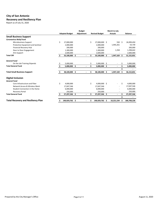## **City of San Antonio Recovery and Resiliency Plan**

Report as of July 31, 2020

|                                           |                       | <b>Budget</b> |    |                       |     | <b>March to July</b> |                   |
|-------------------------------------------|-----------------------|---------------|----|-----------------------|-----|----------------------|-------------------|
|                                           | <b>Adopted Budget</b> | Adjustment    |    | <b>Revised Budget</b> |     | <b>Actuals</b>       | <b>Balance</b>    |
| <b>Small Business Support</b>             |                       |               |    |                       |     |                      |                   |
| <b>Coronavirus Relief Fund</b>            |                       |               |    |                       |     |                      |                   |
| Microbusiness Support                     | \$<br>27,000,000      |               | \$ | 27,000,000 \$         |     | 550 \$               | 26,999,450        |
| Protective Equipment and Sanitizer        | 2,000,000             |               |    | 2,000,000             |     | 1,945,261            | 54,739            |
| <b>Financial Recovery Hub</b>             | 200,000               |               |    | 200,000               |     |                      | 200,000           |
| Door to Door Engagement                   | 1,300,000             |               |    | 1,300,000             |     | 1,358                | 1,298,642         |
| <b>Arts Support</b>                       | 2,600,000             |               |    | 2,600,000             |     |                      | 2,600,000         |
| <b>Total CRF</b>                          | \$<br>33,100,000 \$   |               | \$ | 33,100,000 \$         |     | $1,947,169$ \$       | 31,152,831        |
| <b>General Fund</b>                       |                       |               |    |                       |     |                      |                   |
| On the Job Training Stipends              | \$<br>5,000,000       |               | \$ | 5,000,000             | -\$ |                      | \$<br>5,000,000   |
| <b>Total General Fund</b>                 | 5,000,000 \$          |               | \$ | 5,000,000 \$          |     |                      | 5,000,000         |
|                                           |                       |               |    |                       |     |                      |                   |
| <b>Total Small Business Support</b>       | 38,100,000 \$         |               | \$ | 38,100,000            | \$  | 1,947,169            | \$<br>36,152,831  |
| <b>Digital Inclusion</b>                  |                       |               |    |                       |     |                      |                   |
| <b>General Fund</b>                       |                       |               |    |                       |     |                      |                   |
| Core Infrastructure and Fiber             | \$<br>4,000,000       |               | \$ | 4,000,000 \$          |     |                      | \$<br>4,000,000   |
| <b>Network Access &amp; Wireless Mesh</b> | 17,047,546            |               |    | 17,047,546            |     |                      | 17,047,546        |
| Student Connection in the Home            | 6,000,000             |               |    | 6,000,000             |     |                      | 6,000,000         |
| <b>Recovery Portal</b>                    | 250,000               |               |    | 250,000               |     |                      | 250,000           |
| <b>Total General Fund</b>                 | 27,297,546 \$         |               | Ś. | 27,297,546 \$         |     |                      | 27,297,546        |
|                                           |                       |               |    |                       |     |                      |                   |
| <b>Total Recovery and Resiliency Plan</b> | \$<br>190,929,762 \$  |               | \$ | 190,929,762 \$        |     | 10,221,534           | \$<br>180,708,228 |

Prepared by the City Manager's Office **Page 8** of 11 August 11, 2020

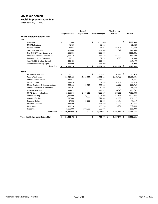# **City of San Antonio Health Implementation Plan**

Report as of July 31, 2020

|               |                                             |               |                       | <b>Budget</b>            |                       | <b>March to July</b> |                |                     |                |
|---------------|---------------------------------------------|---------------|-----------------------|--------------------------|-----------------------|----------------------|----------------|---------------------|----------------|
|               |                                             |               | <b>Adopted Budget</b> | Adjustment               | <b>Revised Budget</b> |                      | <b>Actuals</b> |                     | <b>Balance</b> |
|               | <b>Health Implementation Plan</b>           |               |                       |                          |                       |                      |                |                     |                |
| <b>Fire</b>   |                                             |               |                       |                          |                       |                      |                |                     |                |
|               | Overtime                                    | \$            | 5,000,000             |                          | \$<br>5,000,000       |                      |                | \$                  | 5,000,000      |
|               | <b>MIH Medications</b>                      |               | 75,628                |                          | 75,628                |                      |                |                     | 75,628         |
|               | <b>MIH Equipment</b>                        |               | 918,954               |                          | 918,954               |                      | 686,475        |                     | 232,479        |
|               | <b>Testing Mobile Unit</b>                  |               | 2,159,000             |                          | 2,159,000             |                      | 112,547        |                     | 2,046,453      |
|               | Fire & EMS Vehicle Equipment                |               | 4,598,881             |                          | 4,598,881             |                      |                |                     | 4,598,881      |
|               | Protective Personnel Equipment              |               | 1,854,770             |                          | 1,854,770             |                      | 224,270        |                     | 1,630,500      |
|               | <b>Decontamination Equipment</b>            |               | 32,799                |                          | 32,799                |                      | 28,395         |                     | 4,404          |
|               | Asst Med Dir & Infect Control               |               | 226,498               |                          | 226,498               |                      |                |                     | 226,498        |
|               | Temp Staff Inventory Mgmt                   |               | 115,000               |                          | 115,000               |                      |                |                     | 115,000        |
|               | <b>Total Fire</b>                           | $\frac{1}{2}$ | 14,981,530 \$         |                          | \$<br>14,981,530 \$   |                      | 1,051,687      | $\ddot{\bm{\zeta}}$ | 13,929,843     |
|               |                                             |               |                       |                          |                       |                      |                |                     |                |
| <b>Health</b> |                                             |               |                       |                          |                       |                      |                |                     |                |
|               | <b>Project Management</b>                   | \$            | 1,035,977 \$          | 132,500 \$               | $1,168,477$ \$        |                      | $62,848$ \$    |                     | 1,105,629      |
|               | <b>Testing Task Force</b>                   |               | 29,416,682            | (5,528,827)              | 23,887,855            |                      | 1,581,420      |                     | 22,306,435     |
|               | <b>Community Education</b>                  |               | 114,631               |                          | 114,631               |                      |                |                     | 114,631        |
|               | <b>COVID Hotline</b>                        |               | 472,874               | 59,500                   | 532,374               |                      | 31,959         |                     | 500,415        |
|               | <b>Media Relations &amp; Communications</b> |               | 549,668               | 52,513                   | 602,181               |                      | 11,268         |                     | 590,913        |
|               | <b>Community Health &amp; Prevention</b>    |               | 282,701               |                          | 282,701               |                      | 17,939         |                     | 264,762        |
|               | Data Management                             |               | 771,079               | 7,500                    | 778,579               |                      | 96,848         |                     | 681,731        |
|               | <b>COVID Case Investigations</b>            |               | 2,369,361             | 5,650,813                | 8,020,174             |                      | 236,366        |                     | 7,783,808      |
|               | <b>Contact Tracing</b>                      |               | 2,175,000             | 116,000                  | 2,291,000             |                      | 213,346        |                     | 2,077,655      |
|               | <b>Congrete Settings</b>                    |               | 916,806               | 5,000                    | 921,806               |                      | 91,689         |                     | 830,117        |
|               | <b>Provider Hotline</b>                     |               | 57,882                | 5,000                    | 62,882                |                      | 13,713         |                     | 49,169         |
|               | <b>Provider Relations</b>                   |               | 175,560               |                          | 175,560               |                      | 33,027         |                     | 142,533        |
|               | <b>PHEP Support</b>                         |               | 133,724               |                          | 133,724               |                      | 15,134         |                     | 118,590        |
|               | Research                                    |               | 1,000,000             | (500,000)                | 500,000               |                      |                |                     | 500,000        |
|               | <b>Total Health</b>                         | \$            | 39,471,945 \$         | $\overline{\phantom{a}}$ | \$<br>39,471,945 \$   |                      | 2,405,557 \$   |                     | 37,066,388     |
|               |                                             |               |                       |                          |                       |                      |                |                     |                |
|               | <b>Total Health Implementation Plan</b>     | \$            | 54,453,475 \$         | $\overline{\phantom{a}}$ | \$<br>54,453,475      | $\ddot{\bm{\zeta}}$  | 3,457,244      | $\ddot{\bm{\zeta}}$ | 50,996,231     |

Prepared by the City Manager's Office **Page 9 of 11** Page 9 of 11 August 11, 2020

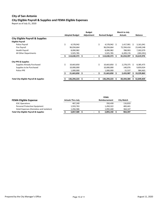### **City of San Antonio City Eligible Payroll & Supplies and FEMA Eligible Expenses**

Report as of July 31, 2020

|                                                   | <b>Budget</b><br>March to July |                       |            |    |                       |    |                |              |                |  |  |
|---------------------------------------------------|--------------------------------|-----------------------|------------|----|-----------------------|----|----------------|--------------|----------------|--|--|
|                                                   |                                | <b>Adopted Budget</b> | Adjustment |    | <b>Revised Budget</b> |    | <b>Actuals</b> |              | <b>Balance</b> |  |  |
| <b>City Eligible Payroll &amp; Supplies</b>       |                                |                       |            |    |                       |    |                |              |                |  |  |
| <b>Eligible Payroll</b>                           |                                |                       |            |    |                       |    |                |              |                |  |  |
| Police Payroll                                    | \$                             | 4,578,942             |            | \$ | $4,578,942$ \$        |    | 1,417,901      | S            | 3,161,041      |  |  |
| Fire Payroll                                      |                                | 96,034,664            |            |    | 96,034,664            |    | 72,594,416     |              | 23,440,248     |  |  |
| <b>Health Payroll</b>                             |                                | 8,090,982             |            |    | 8,090,982             |    | 788,903        |              | 7,302,079      |  |  |
| All Other Departments                             |                                | 5,925,785             |            |    | 5,925,785             |    | 6,209,176      |              | (283, 391)     |  |  |
|                                                   |                                | 114,630,373           | \$         | Ś  | 114,630,373           | S  | 81,010,397     | S            | 33,619,976     |  |  |
| <b>City PPE &amp; Supplies</b>                    |                                |                       |            |    |                       |    |                |              |                |  |  |
| <b>Supplies Already Purchased</b>                 | \$                             | 10,663,850            |            | \$ | $10,663,850$ \$       |    | 2,278,375      | <sup>S</sup> | 8,385,475      |  |  |
| Supplies to be Purchased                          |                                | 10,000,000            |            |    | 10,000,000            |    | 140,076        |              | 9,859,924      |  |  |
| Police PPE                                        |                                | 1,000,000             |            |    | 1,000,000             |    | 15,537         |              | 984,463        |  |  |
|                                                   |                                | 21,663,850            | \$         |    | 21,663,850            | \$ | 2,433,987      |              | 19,229,863     |  |  |
|                                                   |                                |                       |            |    |                       |    |                |              |                |  |  |
| <b>Total City Eligible Payroll &amp; Supplies</b> |                                | 136,294,223           | \$         | Ś  | 136,294,223           | \$ | 83,444,384     | S            | 52,849,839     |  |  |

|                                                   | <b>FEMA</b> |                          |  |  |                      |                   |  |  |  |
|---------------------------------------------------|-------------|--------------------------|--|--|----------------------|-------------------|--|--|--|
| <b>FEMA Eligible Expense</b>                      |             | <b>Actuals Thru July</b> |  |  | <b>Reimbursement</b> | <b>City Match</b> |  |  |  |
| <b>EOC Operations</b>                             |             | 467,240                  |  |  | 350,430              | 116,810           |  |  |  |
| Personal Protective Equipment                     |             | 1,933,763                |  |  | 1,450,322            | 483,441           |  |  |  |
| Hotel Expenses (Homeless and Isolation)           |             | 1,456,586                |  |  | 1,092,440            | 364.147           |  |  |  |
| <b>Total City Eligible Payroll &amp; Supplies</b> |             | 3,857,589                |  |  | 2,893,192            | 964,397           |  |  |  |